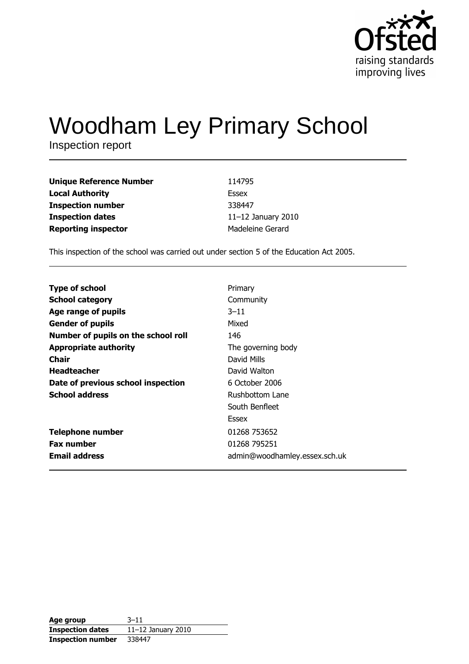

# **Woodham Ley Primary School**

Inspection report

| <b>Unique Reference Number</b> | 114795             |
|--------------------------------|--------------------|
| <b>Local Authority</b>         | Essex              |
| <b>Inspection number</b>       | 338447             |
| <b>Inspection dates</b>        | 11-12 January 2010 |
| <b>Reporting inspector</b>     | Madeleine Gerard   |

This inspection of the school was carried out under section 5 of the Education Act 2005.

| <b>Type of school</b>               | Primary                       |
|-------------------------------------|-------------------------------|
| <b>School category</b>              | Community                     |
| Age range of pupils                 | $3 - 11$                      |
| <b>Gender of pupils</b>             | Mixed                         |
| Number of pupils on the school roll | 146                           |
|                                     |                               |
| <b>Appropriate authority</b>        | The governing body            |
| Chair                               | David Mills                   |
| <b>Headteacher</b>                  | David Walton                  |
| Date of previous school inspection  | 6 October 2006                |
| <b>School address</b>               | Rushbottom Lane               |
|                                     | South Benfleet                |
|                                     | Essex                         |
| <b>Telephone number</b>             | 01268 753652                  |
| <b>Fax number</b>                   | 01268 795251                  |
| <b>Email address</b>                | admin@woodhamley.essex.sch.uk |

| Age group                | $3 - 11$             |
|--------------------------|----------------------|
| <b>Inspection dates</b>  | $11-12$ January 2010 |
| <b>Inspection number</b> | 338447               |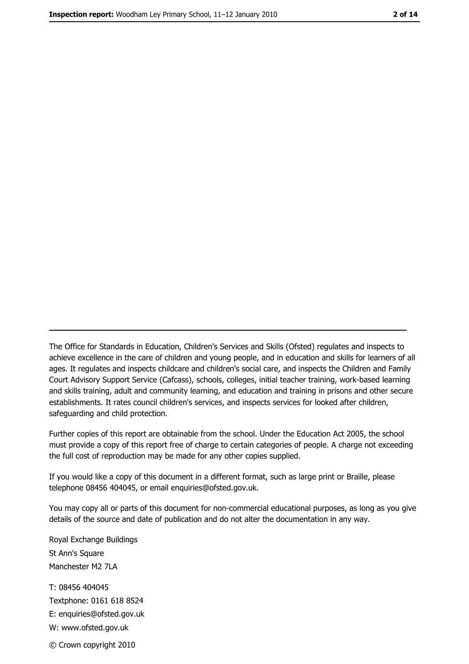The Office for Standards in Education, Children's Services and Skills (Ofsted) regulates and inspects to achieve excellence in the care of children and young people, and in education and skills for learners of all ages. It regulates and inspects childcare and children's social care, and inspects the Children and Family Court Advisory Support Service (Cafcass), schools, colleges, initial teacher training, work-based learning and skills training, adult and community learning, and education and training in prisons and other secure establishments. It rates council children's services, and inspects services for looked after children, safequarding and child protection.

Further copies of this report are obtainable from the school. Under the Education Act 2005, the school must provide a copy of this report free of charge to certain categories of people. A charge not exceeding the full cost of reproduction may be made for any other copies supplied.

If you would like a copy of this document in a different format, such as large print or Braille, please telephone 08456 404045, or email enquiries@ofsted.gov.uk.

You may copy all or parts of this document for non-commercial educational purposes, as long as you give details of the source and date of publication and do not alter the documentation in any way.

Royal Exchange Buildings St Ann's Square Manchester M2 7LA T: 08456 404045 Textphone: 0161 618 8524 E: enquiries@ofsted.gov.uk W: www.ofsted.gov.uk © Crown copyright 2010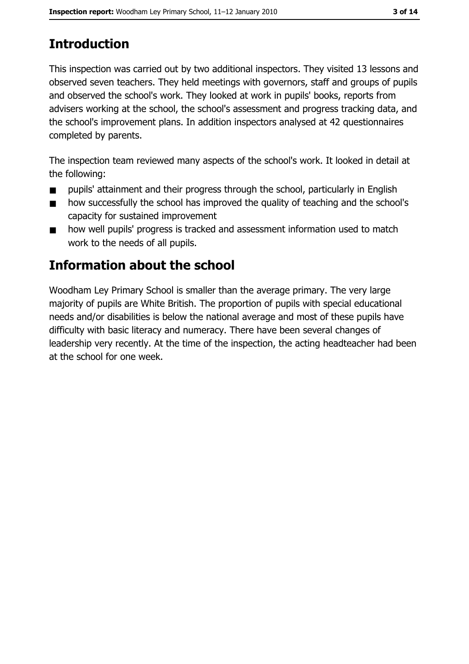# **Introduction**

This inspection was carried out by two additional inspectors. They visited 13 lessons and observed seven teachers. They held meetings with governors, staff and groups of pupils and observed the school's work. They looked at work in pupils' books, reports from advisers working at the school, the school's assessment and progress tracking data, and the school's improvement plans. In addition inspectors analysed at 42 questionnaires completed by parents.

The inspection team reviewed many aspects of the school's work. It looked in detail at the following:

- pupils' attainment and their progress through the school, particularly in English  $\blacksquare$
- how successfully the school has improved the quality of teaching and the school's  $\blacksquare$ capacity for sustained improvement
- how well pupils' progress is tracked and assessment information used to match  $\blacksquare$ work to the needs of all pupils.

# Information about the school

Woodham Ley Primary School is smaller than the average primary. The very large majority of pupils are White British. The proportion of pupils with special educational needs and/or disabilities is below the national average and most of these pupils have difficulty with basic literacy and numeracy. There have been several changes of leadership very recently. At the time of the inspection, the acting headteacher had been at the school for one week.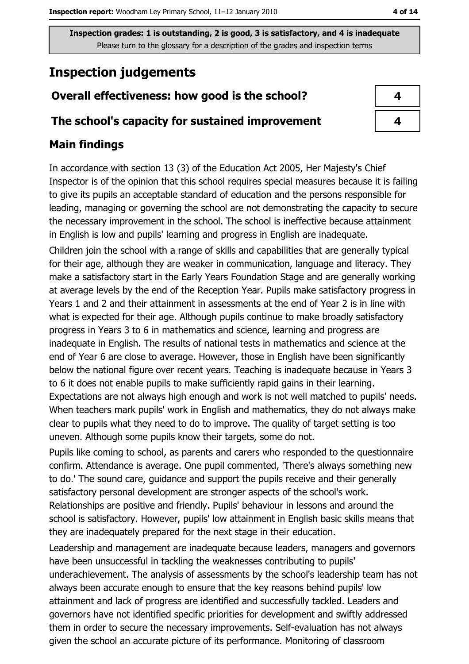# **Inspection judgements**

## Overall effectiveness: how good is the school?

#### The school's capacity for sustained improvement

# **Main findings**

In accordance with section 13 (3) of the Education Act 2005, Her Majesty's Chief Inspector is of the opinion that this school requires special measures because it is failing to give its pupils an acceptable standard of education and the persons responsible for leading, managing or governing the school are not demonstrating the capacity to secure the necessary improvement in the school. The school is ineffective because attainment in English is low and pupils' learning and progress in English are inadequate.

Children join the school with a range of skills and capabilities that are generally typical for their age, although they are weaker in communication, language and literacy. They make a satisfactory start in the Early Years Foundation Stage and are generally working at average levels by the end of the Reception Year. Pupils make satisfactory progress in Years 1 and 2 and their attainment in assessments at the end of Year 2 is in line with what is expected for their age. Although pupils continue to make broadly satisfactory progress in Years 3 to 6 in mathematics and science, learning and progress are inadequate in English. The results of national tests in mathematics and science at the end of Year 6 are close to average. However, those in English have been significantly below the national figure over recent years. Teaching is inadequate because in Years 3 to 6 it does not enable pupils to make sufficiently rapid gains in their learning.

Expectations are not always high enough and work is not well matched to pupils' needs. When teachers mark pupils' work in English and mathematics, they do not always make clear to pupils what they need to do to improve. The quality of target setting is too uneven. Although some pupils know their targets, some do not.

Pupils like coming to school, as parents and carers who responded to the questionnaire confirm. Attendance is average. One pupil commented, 'There's always something new to do.' The sound care, quidance and support the pupils receive and their generally satisfactory personal development are stronger aspects of the school's work. Relationships are positive and friendly. Pupils' behaviour in lessons and around the school is satisfactory. However, pupils' low attainment in English basic skills means that they are inadequately prepared for the next stage in their education.

Leadership and management are inadequate because leaders, managers and governors have been unsuccessful in tackling the weaknesses contributing to pupils' underachievement. The analysis of assessments by the school's leadership team has not always been accurate enough to ensure that the key reasons behind pupils' low attainment and lack of progress are identified and successfully tackled. Leaders and governors have not identified specific priorities for development and swiftly addressed them in order to secure the necessary improvements. Self-evaluation has not always given the school an accurate picture of its performance. Monitoring of classroom

| 4 |  |
|---|--|
| 4 |  |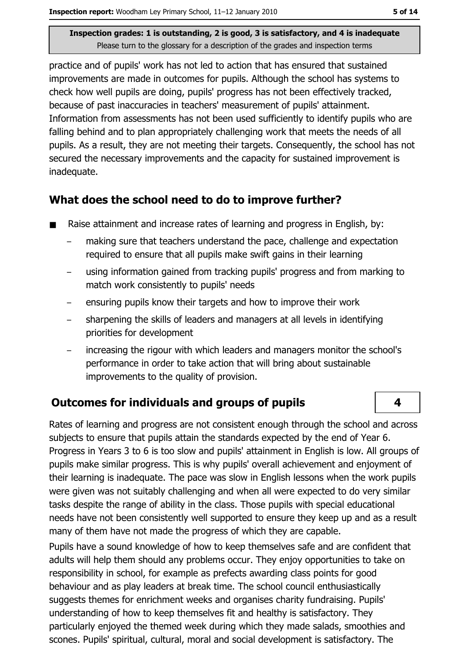practice and of pupils' work has not led to action that has ensured that sustained improvements are made in outcomes for pupils. Although the school has systems to check how well pupils are doing, pupils' progress has not been effectively tracked, because of past inaccuracies in teachers' measurement of pupils' attainment. Information from assessments has not been used sufficiently to identify pupils who are falling behind and to plan appropriately challenging work that meets the needs of all pupils. As a result, they are not meeting their targets. Consequently, the school has not secured the necessary improvements and the capacity for sustained improvement is inadequate.

### What does the school need to do to improve further?

- Raise attainment and increase rates of learning and progress in English, by:
	- making sure that teachers understand the pace, challenge and expectation required to ensure that all pupils make swift gains in their learning
	- using information gained from tracking pupils' progress and from marking to  $\equiv$ match work consistently to pupils' needs
	- ensuring pupils know their targets and how to improve their work
	- sharpening the skills of leaders and managers at all levels in identifying priorities for development
	- increasing the rigour with which leaders and managers monitor the school's  $$ performance in order to take action that will bring about sustainable improvements to the quality of provision.

## **Outcomes for individuals and groups of pupils**

Rates of learning and progress are not consistent enough through the school and across subjects to ensure that pupils attain the standards expected by the end of Year 6. Progress in Years 3 to 6 is too slow and pupils' attainment in English is low. All groups of pupils make similar progress. This is why pupils' overall achievement and eniovment of their learning is inadequate. The pace was slow in English lessons when the work pupils were given was not suitably challenging and when all were expected to do very similar tasks despite the range of ability in the class. Those pupils with special educational needs have not been consistently well supported to ensure they keep up and as a result many of them have not made the progress of which they are capable.

Pupils have a sound knowledge of how to keep themselves safe and are confident that adults will help them should any problems occur. They enjoy opportunities to take on responsibility in school, for example as prefects awarding class points for good behaviour and as play leaders at break time. The school council enthusiastically suggests themes for enrichment weeks and organises charity fundraising. Pupils' understanding of how to keep themselves fit and healthy is satisfactory. They particularly enjoved the themed week during which they made salads, smoothies and scones. Pupils' spiritual, cultural, moral and social development is satisfactory. The

 $\overline{\mathbf{A}}$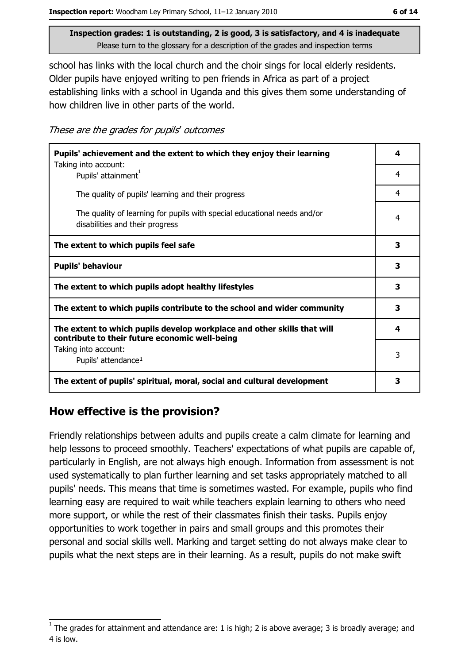school has links with the local church and the choir sings for local elderly residents. Older pupils have enjoyed writing to pen friends in Africa as part of a project establishing links with a school in Uganda and this gives them some understanding of how children live in other parts of the world.

These are the grades for pupils' outcomes

| Pupils' achievement and the extent to which they enjoy their learning                                                     |   |
|---------------------------------------------------------------------------------------------------------------------------|---|
| Taking into account:<br>Pupils' attainment                                                                                | 4 |
| The quality of pupils' learning and their progress                                                                        | 4 |
| The quality of learning for pupils with special educational needs and/or<br>disabilities and their progress               | 4 |
| The extent to which pupils feel safe                                                                                      | 3 |
| <b>Pupils' behaviour</b>                                                                                                  | 3 |
| The extent to which pupils adopt healthy lifestyles                                                                       | 3 |
| The extent to which pupils contribute to the school and wider community                                                   |   |
| The extent to which pupils develop workplace and other skills that will<br>contribute to their future economic well-being | 4 |
| Taking into account:                                                                                                      | 3 |
| Pupils' attendance <sup>1</sup>                                                                                           |   |
| The extent of pupils' spiritual, moral, social and cultural development                                                   | 3 |

## How effective is the provision?

Friendly relationships between adults and pupils create a calm climate for learning and help lessons to proceed smoothly. Teachers' expectations of what pupils are capable of, particularly in English, are not always high enough. Information from assessment is not used systematically to plan further learning and set tasks appropriately matched to all pupils' needs. This means that time is sometimes wasted. For example, pupils who find learning easy are required to wait while teachers explain learning to others who need more support, or while the rest of their classmates finish their tasks. Pupils enjoy opportunities to work together in pairs and small groups and this promotes their personal and social skills well. Marking and target setting do not always make clear to pupils what the next steps are in their learning. As a result, pupils do not make swift

The grades for attainment and attendance are: 1 is high; 2 is above average; 3 is broadly average; and 4 is low.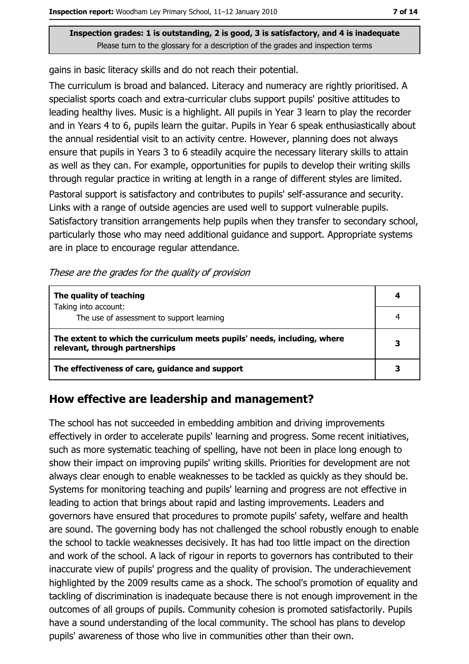gains in basic literacy skills and do not reach their potential.

The curriculum is broad and balanced. Literacy and numeracy are rightly prioritised. A specialist sports coach and extra-curricular clubs support pupils' positive attitudes to leading healthy lives. Music is a highlight. All pupils in Year 3 learn to play the recorder and in Years 4 to 6, pupils learn the guitar. Pupils in Year 6 speak enthusiastically about the annual residential visit to an activity centre. However, planning does not always ensure that pupils in Years 3 to 6 steadily acquire the necessary literary skills to attain as well as they can. For example, opportunities for pupils to develop their writing skills through regular practice in writing at length in a range of different styles are limited.

Pastoral support is satisfactory and contributes to pupils' self-assurance and security. Links with a range of outside agencies are used well to support vulnerable pupils. Satisfactory transition arrangements help pupils when they transfer to secondary school, particularly those who may need additional guidance and support. Appropriate systems are in place to encourage regular attendance.

These are the grades for the quality of provision

| The quality of teaching                                                                                    |  |
|------------------------------------------------------------------------------------------------------------|--|
| Taking into account:<br>The use of assessment to support learning                                          |  |
| The extent to which the curriculum meets pupils' needs, including, where<br>relevant, through partnerships |  |
| The effectiveness of care, guidance and support                                                            |  |

#### How effective are leadership and management?

The school has not succeeded in embedding ambition and driving improvements effectively in order to accelerate pupils' learning and progress. Some recent initiatives, such as more systematic teaching of spelling, have not been in place long enough to show their impact on improving pupils' writing skills. Priorities for development are not always clear enough to enable weaknesses to be tackled as quickly as they should be. Systems for monitoring teaching and pupils' learning and progress are not effective in leading to action that brings about rapid and lasting improvements. Leaders and governors have ensured that procedures to promote pupils' safety, welfare and health are sound. The governing body has not challenged the school robustly enough to enable the school to tackle weaknesses decisively. It has had too little impact on the direction and work of the school. A lack of rigour in reports to governors has contributed to their inaccurate view of pupils' progress and the quality of provision. The underachievement highlighted by the 2009 results came as a shock. The school's promotion of equality and tackling of discrimination is inadequate because there is not enough improvement in the outcomes of all groups of pupils. Community cohesion is promoted satisfactorily. Pupils have a sound understanding of the local community. The school has plans to develop pupils' awareness of those who live in communities other than their own.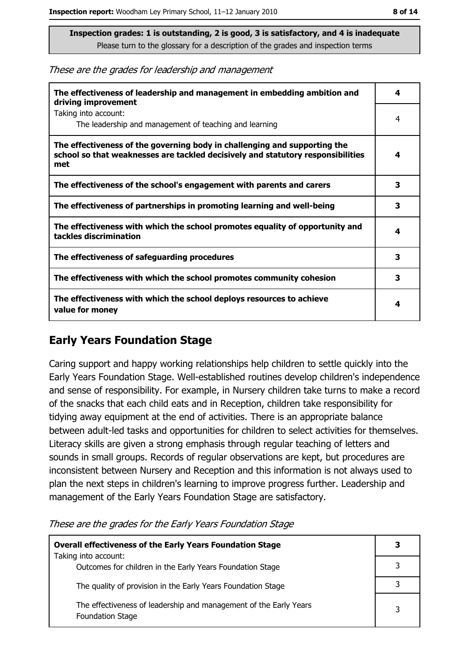These are the grades for leadership and management

| The effectiveness of leadership and management in embedding ambition and<br>driving improvement                                                                     | 4 |
|---------------------------------------------------------------------------------------------------------------------------------------------------------------------|---|
| Taking into account:<br>The leadership and management of teaching and learning                                                                                      | 4 |
| The effectiveness of the governing body in challenging and supporting the<br>school so that weaknesses are tackled decisively and statutory responsibilities<br>met | 4 |
| The effectiveness of the school's engagement with parents and carers                                                                                                | 3 |
| The effectiveness of partnerships in promoting learning and well-being                                                                                              | 3 |
| The effectiveness with which the school promotes equality of opportunity and<br>tackles discrimination                                                              | 4 |
| The effectiveness of safeguarding procedures                                                                                                                        | 3 |
| The effectiveness with which the school promotes community cohesion                                                                                                 | 3 |
| The effectiveness with which the school deploys resources to achieve<br>value for money                                                                             | 4 |

## **Early Years Foundation Stage**

Caring support and happy working relationships help children to settle quickly into the Early Years Foundation Stage. Well-established routines develop children's independence and sense of responsibility. For example, in Nursery children take turns to make a record of the snacks that each child eats and in Reception, children take responsibility for tidying away equipment at the end of activities. There is an appropriate balance between adult-led tasks and opportunities for children to select activities for themselves. Literacy skills are given a strong emphasis through regular teaching of letters and sounds in small groups. Records of regular observations are kept, but procedures are inconsistent between Nursery and Reception and this information is not always used to plan the next steps in children's learning to improve progress further. Leadership and management of the Early Years Foundation Stage are satisfactory.

These are the grades for the Early Years Foundation Stage

| <b>Overall effectiveness of the Early Years Foundation Stage</b><br>Taking into account:     | 3 |
|----------------------------------------------------------------------------------------------|---|
| Outcomes for children in the Early Years Foundation Stage                                    |   |
| The quality of provision in the Early Years Foundation Stage                                 | २ |
| The effectiveness of leadership and management of the Early Years<br><b>Foundation Stage</b> | 3 |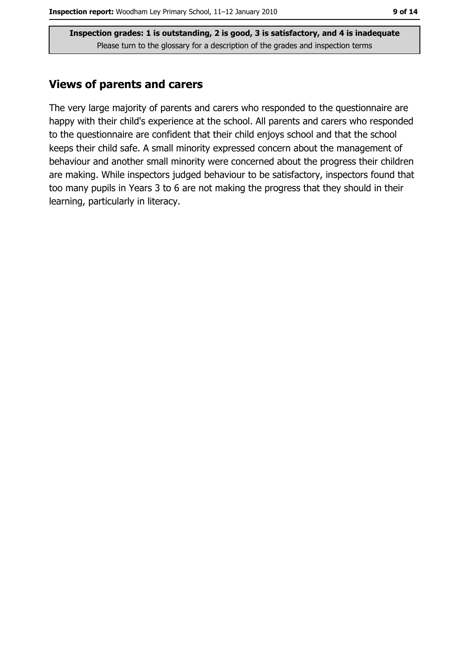#### **Views of parents and carers**

The very large majority of parents and carers who responded to the questionnaire are happy with their child's experience at the school. All parents and carers who responded to the questionnaire are confident that their child enjoys school and that the school keeps their child safe. A small minority expressed concern about the management of behaviour and another small minority were concerned about the progress their children are making. While inspectors judged behaviour to be satisfactory, inspectors found that too many pupils in Years 3 to 6 are not making the progress that they should in their learning, particularly in literacy.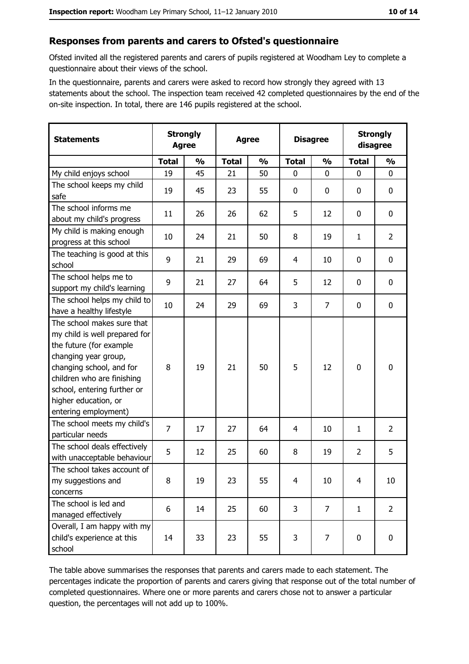#### Responses from parents and carers to Ofsted's questionnaire

Ofsted invited all the registered parents and carers of pupils registered at Woodham Ley to complete a questionnaire about their views of the school.

In the questionnaire, parents and carers were asked to record how strongly they agreed with 13 statements about the school. The inspection team received 42 completed questionnaires by the end of the on-site inspection. In total, there are 146 pupils registered at the school.

| <b>Statements</b>                                                                                                                                                                                                                                       | <b>Strongly</b><br><b>Agree</b> |               | <b>Agree</b> |               |                | <b>Disagree</b> |                | <b>Strongly</b><br>disagree |  |
|---------------------------------------------------------------------------------------------------------------------------------------------------------------------------------------------------------------------------------------------------------|---------------------------------|---------------|--------------|---------------|----------------|-----------------|----------------|-----------------------------|--|
|                                                                                                                                                                                                                                                         | <b>Total</b>                    | $\frac{0}{0}$ | <b>Total</b> | $\frac{0}{0}$ | <b>Total</b>   | $\frac{0}{0}$   | <b>Total</b>   | $\frac{0}{0}$               |  |
| My child enjoys school                                                                                                                                                                                                                                  | 19                              | 45            | 21           | 50            | $\mathbf 0$    | 0               | $\mathbf{0}$   | $\mathbf 0$                 |  |
| The school keeps my child<br>safe                                                                                                                                                                                                                       | 19                              | 45            | 23           | 55            | $\mathbf 0$    | 0               | 0              | 0                           |  |
| The school informs me<br>about my child's progress                                                                                                                                                                                                      | 11                              | 26            | 26           | 62            | 5              | 12              | 0              | 0                           |  |
| My child is making enough<br>progress at this school                                                                                                                                                                                                    | 10                              | 24            | 21           | 50            | 8              | 19              | 1              | $\overline{2}$              |  |
| The teaching is good at this<br>school                                                                                                                                                                                                                  | 9                               | 21            | 29           | 69            | $\overline{4}$ | 10              | 0              | $\mathbf 0$                 |  |
| The school helps me to<br>support my child's learning                                                                                                                                                                                                   | 9                               | 21            | 27           | 64            | 5              | 12              | 0              | $\mathbf 0$                 |  |
| The school helps my child to<br>have a healthy lifestyle                                                                                                                                                                                                | 10                              | 24            | 29           | 69            | 3              | $\overline{7}$  | $\mathbf 0$    | $\mathbf 0$                 |  |
| The school makes sure that<br>my child is well prepared for<br>the future (for example<br>changing year group,<br>changing school, and for<br>children who are finishing<br>school, entering further or<br>higher education, or<br>entering employment) | 8                               | 19            | 21           | 50            | 5              | 12              | 0              | $\mathbf 0$                 |  |
| The school meets my child's<br>particular needs                                                                                                                                                                                                         | $\overline{7}$                  | 17            | 27           | 64            | 4              | 10              | 1              | $\overline{2}$              |  |
| The school deals effectively<br>with unacceptable behaviour                                                                                                                                                                                             | 5                               | 12            | 25           | 60            | 8              | 19              | $\overline{2}$ | 5                           |  |
| The school takes account of<br>my suggestions and<br>concerns                                                                                                                                                                                           | 8                               | 19            | 23           | 55            | $\overline{4}$ | 10              | $\overline{4}$ | 10                          |  |
| The school is led and<br>managed effectively                                                                                                                                                                                                            | 6                               | 14            | 25           | 60            | 3              | $\overline{7}$  | $\mathbf{1}$   | $\overline{2}$              |  |
| Overall, I am happy with my<br>child's experience at this<br>school                                                                                                                                                                                     | 14                              | 33            | 23           | 55            | 3              | 7               | 0              | 0                           |  |

The table above summarises the responses that parents and carers made to each statement. The percentages indicate the proportion of parents and carers giving that response out of the total number of completed questionnaires. Where one or more parents and carers chose not to answer a particular question, the percentages will not add up to 100%.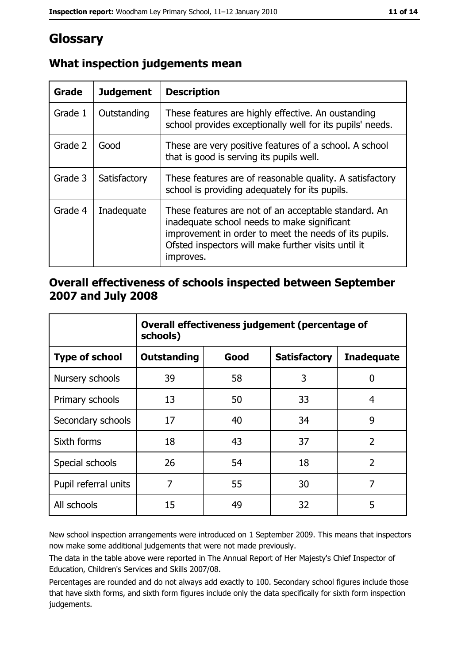# Glossary

| Grade   | <b>Judgement</b> | <b>Description</b>                                                                                                                                                                                                               |
|---------|------------------|----------------------------------------------------------------------------------------------------------------------------------------------------------------------------------------------------------------------------------|
| Grade 1 | Outstanding      | These features are highly effective. An oustanding<br>school provides exceptionally well for its pupils' needs.                                                                                                                  |
| Grade 2 | Good             | These are very positive features of a school. A school<br>that is good is serving its pupils well.                                                                                                                               |
| Grade 3 | Satisfactory     | These features are of reasonable quality. A satisfactory<br>school is providing adequately for its pupils.                                                                                                                       |
| Grade 4 | Inadequate       | These features are not of an acceptable standard. An<br>inadequate school needs to make significant<br>improvement in order to meet the needs of its pupils.<br>Ofsted inspectors will make further visits until it<br>improves. |

# What inspection judgements mean

## Overall effectiveness of schools inspected between September 2007 and July 2008

|                       | Overall effectiveness judgement (percentage of<br>schools) |      |                     |                   |
|-----------------------|------------------------------------------------------------|------|---------------------|-------------------|
| <b>Type of school</b> | <b>Outstanding</b>                                         | Good | <b>Satisfactory</b> | <b>Inadequate</b> |
| Nursery schools       | 39                                                         | 58   | 3                   | 0                 |
| Primary schools       | 13                                                         | 50   | 33                  | 4                 |
| Secondary schools     | 17                                                         | 40   | 34                  | 9                 |
| Sixth forms           | 18                                                         | 43   | 37                  | $\overline{2}$    |
| Special schools       | 26                                                         | 54   | 18                  | $\overline{2}$    |
| Pupil referral units  | 7                                                          | 55   | 30                  | 7                 |
| All schools           | 15                                                         | 49   | 32                  | 5                 |

New school inspection arrangements were introduced on 1 September 2009. This means that inspectors now make some additional judgements that were not made previously.

The data in the table above were reported in The Annual Report of Her Majesty's Chief Inspector of Education, Children's Services and Skills 2007/08.

Percentages are rounded and do not always add exactly to 100. Secondary school figures include those that have sixth forms, and sixth form figures include only the data specifically for sixth form inspection judgements.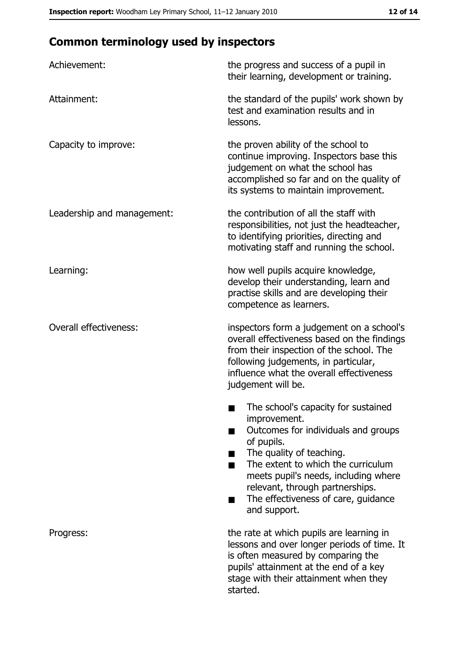# **Common terminology used by inspectors**

| Achievement:                  | the progress and success of a pupil in<br>their learning, development or training.                                                                                                                                                                                                                           |
|-------------------------------|--------------------------------------------------------------------------------------------------------------------------------------------------------------------------------------------------------------------------------------------------------------------------------------------------------------|
| Attainment:                   | the standard of the pupils' work shown by<br>test and examination results and in<br>lessons.                                                                                                                                                                                                                 |
| Capacity to improve:          | the proven ability of the school to<br>continue improving. Inspectors base this<br>judgement on what the school has<br>accomplished so far and on the quality of<br>its systems to maintain improvement.                                                                                                     |
| Leadership and management:    | the contribution of all the staff with<br>responsibilities, not just the headteacher,<br>to identifying priorities, directing and<br>motivating staff and running the school.                                                                                                                                |
| Learning:                     | how well pupils acquire knowledge,<br>develop their understanding, learn and<br>practise skills and are developing their<br>competence as learners.                                                                                                                                                          |
| <b>Overall effectiveness:</b> | inspectors form a judgement on a school's<br>overall effectiveness based on the findings<br>from their inspection of the school. The<br>following judgements, in particular,<br>influence what the overall effectiveness<br>judgement will be.                                                               |
|                               | The school's capacity for sustained<br>improvement.<br>Outcomes for individuals and groups<br>of pupils.<br>The quality of teaching.<br>The extent to which the curriculum<br>meets pupil's needs, including where<br>relevant, through partnerships.<br>The effectiveness of care, guidance<br>and support. |
| Progress:                     | the rate at which pupils are learning in<br>lessons and over longer periods of time. It<br>is often measured by comparing the<br>pupils' attainment at the end of a key<br>stage with their attainment when they<br>started.                                                                                 |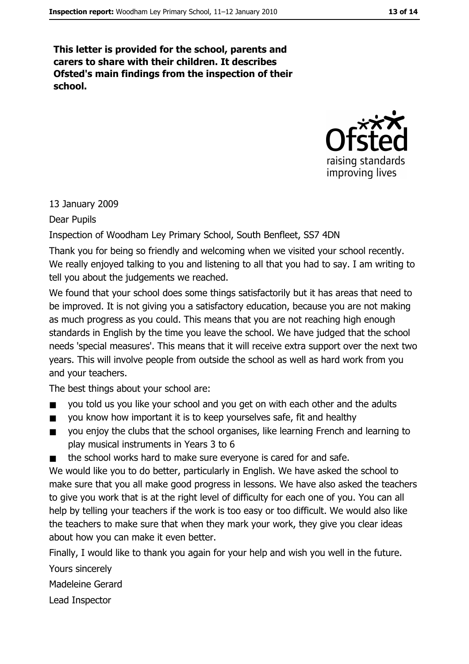This letter is provided for the school, parents and carers to share with their children. It describes Ofsted's main findings from the inspection of their school.



#### 13 January 2009

Dear Pupils

Inspection of Woodham Ley Primary School, South Benfleet, SS7 4DN

Thank you for being so friendly and welcoming when we visited your school recently. We really enjoyed talking to you and listening to all that you had to say. I am writing to tell you about the judgements we reached.

We found that your school does some things satisfactorily but it has areas that need to be improved. It is not giving you a satisfactory education, because you are not making as much progress as you could. This means that you are not reaching high enough standards in English by the time you leave the school. We have judged that the school needs 'special measures'. This means that it will receive extra support over the next two years. This will involve people from outside the school as well as hard work from you and your teachers.

The best things about your school are:

- you told us you like your school and you get on with each other and the adults  $\blacksquare$
- you know how important it is to keep yourselves safe, fit and healthy  $\blacksquare$
- you enjoy the clubs that the school organises, like learning French and learning to  $\blacksquare$ play musical instruments in Years 3 to 6
- the school works hard to make sure everyone is cared for and safe.

We would like you to do better, particularly in English. We have asked the school to make sure that you all make good progress in lessons. We have also asked the teachers to give you work that is at the right level of difficulty for each one of you. You can all help by telling your teachers if the work is too easy or too difficult. We would also like the teachers to make sure that when they mark your work, they give you clear ideas about how you can make it even better.

Finally, I would like to thank you again for your help and wish you well in the future. Yours sincerely Madeleine Gerard

Lead Inspector